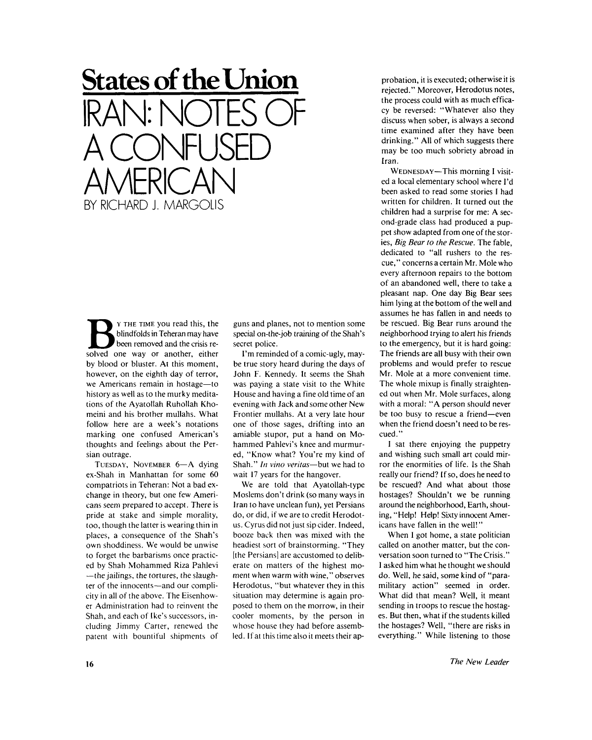## **States of the Union**  IRAN: NOTES OF A CONFUSED AMERICAN BY RICHARD J. MARGOLIS

**B**solved one way or another, either<br>
solved one way or another, either Y THE TIME you read this, the blindfolds in Teheran may have been removed and the crisis reby blood or bluster. At this moment, however, on the eighth day of terror, we Americans remain in hostage—to history as well as to the murky meditations of the Ayatollah Ruhollah Khomeini and his brother mullahs. What follow here are a week's notations marking one confused American's thoughts and feelings about the Persian outrage.

TUESDAY, NOVEMBER 6-A dying ex-Shah in Manhattan for some 60 compatriots in Teheran: Not a bad exchange in theory, but one few Americans seem prepared to accept. There is pride at stake and simple morality, too, though the latter is wearing thin in places, a consequence of the Shah's own shoddiness. We would be unwise to forget the barbarisms once practiced by Shah Mohammed Riza Pahlevi —the jailings, the tortures, the slaughter of the innocents—and our complicity in all of the above. The Eisenhower Administration had to reinvent the Shah, and each of Ike's successors, including Jimmy Carter, renewed the patent with bountiful shipments of

guns and planes, not to mention some special on-the-job training of the Shah's secret police.

I'm reminded of a comic-ugly, maybe true story heard during the days of John F. Kennedy. It seems the Shah was paying a state visit to the White House and having a fine old time of an evening with Jack and some other New Frontier mullahs. At a very late hour one of those sages, drifting into an amiable stupor, put a hand on Mo hammed Pahlevi's knee and murmured, "Know what? You're my kind of Shah." *In vino Veritas*—but we had to wait 17 years for the hangover.

We are told that Ayatollah-type Moslems don't drink (so many ways in Iran to have unclean fun), yet Persians do, or did, if we are to credit Herodotus. Cyrus did not just sip cider. Indeed, booze back then was mixed with the headiest sort of brainstorming. "They [the Persians] are accustomed to deliberate on matters of the highest moment when warm with wine," observes Herodotus, "but whatever they in this situation may determine is again proposed to them on the morrow, in their cooler moments, by the person in whose house they had before assembled. If at this time also it meets their approbation, it is executed; otherwise it is rejected." Moreover, Herodotus notes, the process could with as much efficacy be reversed: "Whatever also they discuss when sober, is always a second time examined after they have been drinking." All of which suggests there may be too much sobriety abroad in Iran.

WEDNESDAY — This morning I visited a local elementary school where I'd been asked to read some stories I had written for children. It turned out the children had a surprise for me: A second-grade class had produced a puppet show adapted from one of the stories, *Big Bear to the Rescue.* The fable, dedicated to "all rushers to the rescue," concerns a certain Mr. Mole who every afternoon repairs to the bottom of an abandoned well, there to take a pleasant nap. One day Big Bear sees him lying at the bottom of the well and assumes he has fallen in and needs to be rescued. Big Bear runs around the neighborhood trying to alert his friends to the emergency, but it is hard going: The friends are all busy with their own problems and would prefer to rescue Mr. Mole at a more convenient time. The whole mixup is finally straightened out when Mr. Mole surfaces, along with a moral: "A person should never be too busy to rescue a friend—even when the friend doesn't need to be rescued."

I sat there enjoying the puppetry and wishing such small art could mirror the enormities of life. Is the Shah really our friend? [f so, does he need to be rescued? And what about those hostages? Shouldn't we be running around the neighborhood, Earth, shouting, "Help! Help! Sixty innocent Americans have fallen in the well!"

When I got home, a state politician called on another matter, but the conversation soon turned to "The Crisis." I asked him what he thought we should do. Well, he said, some kind of "paramilitary action" seemed in order. What did that mean? Well, it meant sending in troops to rescue the hostages. But then, what if the students killed the hostages? Well, "there are risks in everything." While listening to those